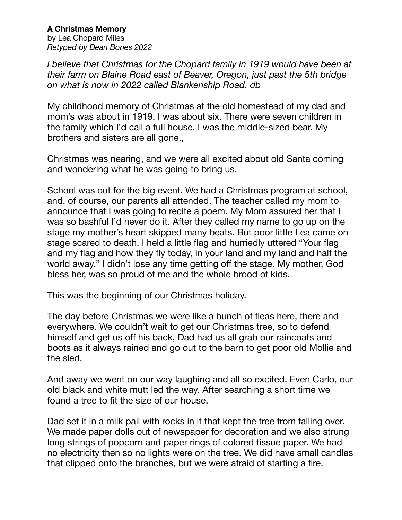**A Christmas Memory**  by Lea Chopard Miles *Retyped by Dean Bones 2022*

*I believe that Christmas for the Chopard family in 1919 would have been at their farm on Blaine Road east of Beaver, Oregon, just past the 5th bridge on what is now in 2022 called Blankenship Road. db* 

My childhood memory of Christmas at the old homestead of my dad and mom's was about in 1919. I was about six. There were seven children in the family which I'd call a full house. I was the middle-sized bear. My brothers and sisters are all gone.,

Christmas was nearing, and we were all excited about old Santa coming and wondering what he was going to bring us.

School was out for the big event. We had a Christmas program at school, and, of course, our parents all attended. The teacher called my mom to announce that I was going to recite a poem. My Mom assured her that I was so bashful I'd never do it. After they called my name to go up on the stage my mother's heart skipped many beats. But poor little Lea came on stage scared to death. I held a little flag and hurriedly uttered "Your flag and my flag and how they fly today, in your land and my land and half the world away." I didn't lose any time getting off the stage. My mother, God bless her, was so proud of me and the whole brood of kids.

This was the beginning of our Christmas holiday.

The day before Christmas we were like a bunch of fleas here, there and everywhere. We couldn't wait to get our Christmas tree, so to defend himself and get us off his back, Dad had us all grab our raincoats and boots as it always rained and go out to the barn to get poor old Mollie and the sled.

And away we went on our way laughing and all so excited. Even Carlo, our old black and white mutt led the way. After searching a short time we found a tree to fit the size of our house.

Dad set it in a milk pail with rocks in it that kept the tree from falling over. We made paper dolls out of newspaper for decoration and we also strung long strings of popcorn and paper rings of colored tissue paper. We had no electricity then so no lights were on the tree. We did have small candles that clipped onto the branches, but we were afraid of starting a fire.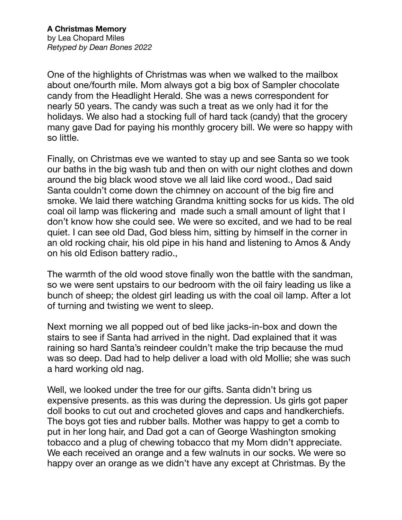One of the highlights of Christmas was when we walked to the mailbox about one/fourth mile. Mom always got a big box of Sampler chocolate candy from the Headlight Herald. She was a news correspondent for nearly 50 years. The candy was such a treat as we only had it for the holidays. We also had a stocking full of hard tack (candy) that the grocery many gave Dad for paying his monthly grocery bill. We were so happy with so little.

Finally, on Christmas eve we wanted to stay up and see Santa so we took our baths in the big wash tub and then on with our night clothes and down around the big black wood stove we all laid like cord wood., Dad said Santa couldn't come down the chimney on account of the big fire and smoke. We laid there watching Grandma knitting socks for us kids. The old coal oil lamp was flickering and made such a small amount of light that I don't know how she could see. We were so excited, and we had to be real quiet. I can see old Dad, God bless him, sitting by himself in the corner in an old rocking chair, his old pipe in his hand and listening to Amos & Andy on his old Edison battery radio.,

The warmth of the old wood stove finally won the battle with the sandman, so we were sent upstairs to our bedroom with the oil fairy leading us like a bunch of sheep; the oldest girl leading us with the coal oil lamp. After a lot of turning and twisting we went to sleep.

Next morning we all popped out of bed like jacks-in-box and down the stairs to see if Santa had arrived in the night. Dad explained that it was raining so hard Santa's reindeer couldn't make the trip because the mud was so deep. Dad had to help deliver a load with old Mollie; she was such a hard working old nag.

Well, we looked under the tree for our gifts. Santa didn't bring us expensive presents. as this was during the depression. Us girls got paper doll books to cut out and crocheted gloves and caps and handkerchiefs. The boys got ties and rubber balls. Mother was happy to get a comb to put in her long hair, and Dad got a can of George Washington smoking tobacco and a plug of chewing tobacco that my Mom didn't appreciate. We each received an orange and a few walnuts in our socks. We were so happy over an orange as we didn't have any except at Christmas. By the